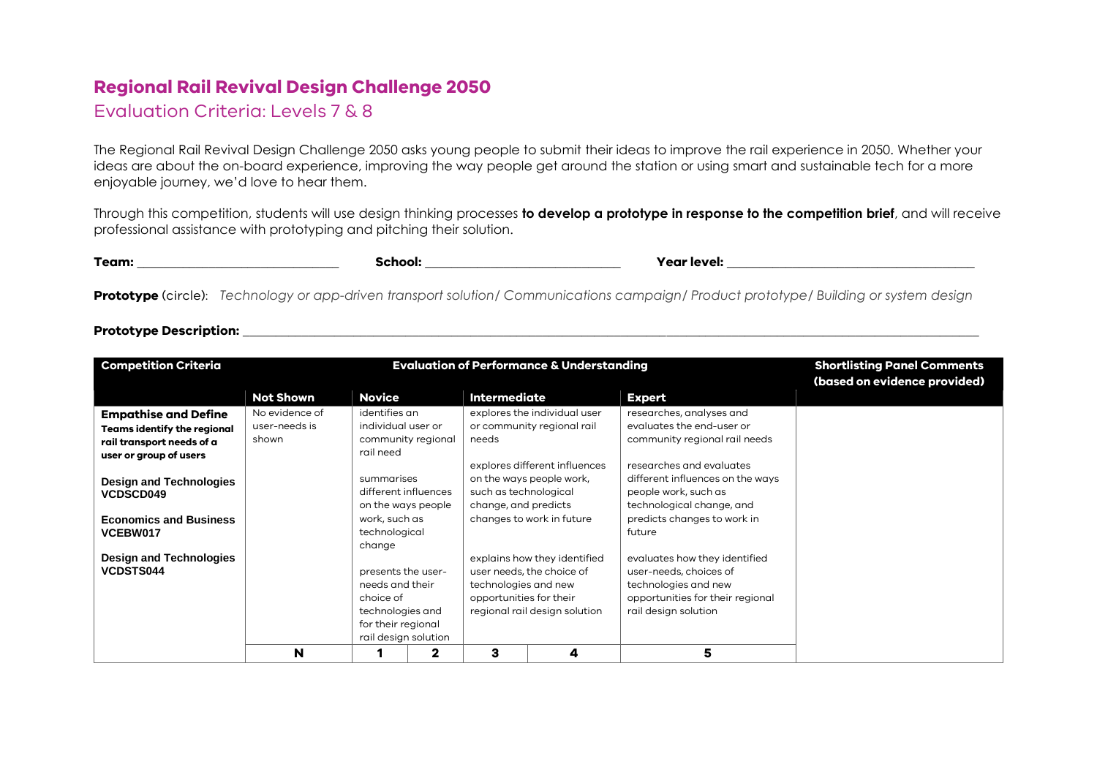## **Regional Rail Revival Design Challenge 2050**

## Evaluation Criteria: Levels 7 & 8

The Regional Rail Revival Design Challenge 2050 asks young people to submit their ideas to improve the rail experience in 2050. Whether your ideas are about the on-board experience, improving the way people get around the station or using smart and sustainable tech for a more enjoyable journey, we'd love to hear them.

Through this competition, students will use design thinking processes **to develop a prototype in response to the competition brief**, and will receive professional assistance with prototyping and pitching their solution.

| Team: | School: | Year level: |
|-------|---------|-------------|
|       |         |             |

**Prototype** (circle):*Technology or app-driven transport solution/ Communications campaign/ Product prototype/ Building or system design*

## **Prototype Description: \_\_\_\_\_\_\_\_\_\_\_\_\_\_\_\_\_\_\_\_\_\_\_\_\_\_\_\_\_\_\_\_\_\_\_\_\_\_\_\_\_\_\_\_\_\_\_\_\_\_\_\_\_\_\_\_\_\_\_\_\_\_\_\_\_\_\_\_\_\_\_\_\_\_\_\_\_\_\_\_\_\_\_\_\_\_\_\_\_\_\_\_\_\_\_\_\_\_\_\_\_\_\_\_\_\_\_\_\_\_\_\_\_**

| <b>Competition Criteria</b>                                                                                              |                                          |                                                                                                                      |                                                                    | <b>Evaluation of Performance &amp; Understanding</b> | <b>Shortlisting Panel Comments</b><br>(based on evidence provided)                          |                                                                                                                                             |  |
|--------------------------------------------------------------------------------------------------------------------------|------------------------------------------|----------------------------------------------------------------------------------------------------------------------|--------------------------------------------------------------------|------------------------------------------------------|---------------------------------------------------------------------------------------------|---------------------------------------------------------------------------------------------------------------------------------------------|--|
|                                                                                                                          | <b>Not Shown</b>                         | <b>Novice</b>                                                                                                        |                                                                    | <b>Intermediate</b>                                  |                                                                                             | <b>Expert</b>                                                                                                                               |  |
| <b>Empathise and Define</b><br><b>Teams identify the regional</b><br>rail transport needs of a<br>user or group of users | No evidence of<br>user-needs is<br>shown | rail need                                                                                                            | identifies an<br>individual user or<br>community regional<br>needs |                                                      | explores the individual user<br>or community regional rail<br>explores different influences | researches, analyses and<br>evaluates the end-user or<br>community regional rail needs<br>researches and evaluates                          |  |
| <b>Design and Technologies</b><br><b>VCDSCD049</b>                                                                       |                                          | summarises<br>different influences<br>on the ways people                                                             |                                                                    | such as technological<br>change, and predicts        | on the ways people work,                                                                    | different influences on the ways<br>people work, such as<br>technological change, and                                                       |  |
| <b>Economics and Business</b><br>VCEBW017                                                                                |                                          | work, such as<br>technological<br>change                                                                             |                                                                    |                                                      | changes to work in future                                                                   | predicts changes to work in<br>future                                                                                                       |  |
| <b>Design and Technologies</b><br><b>VCDSTS044</b>                                                                       |                                          | presents the user-<br>needs and their<br>choice of<br>technologies and<br>for their regional<br>rail design solution |                                                                    | technologies and new<br>opportunities for their      | explains how they identified<br>user needs, the choice of<br>regional rail design solution  | evaluates how they identified<br>user-needs, choices of<br>technologies and new<br>opportunities for their regional<br>rail design solution |  |
|                                                                                                                          | N                                        |                                                                                                                      | $\mathbf{2}$                                                       | 3                                                    | 4                                                                                           | 5                                                                                                                                           |  |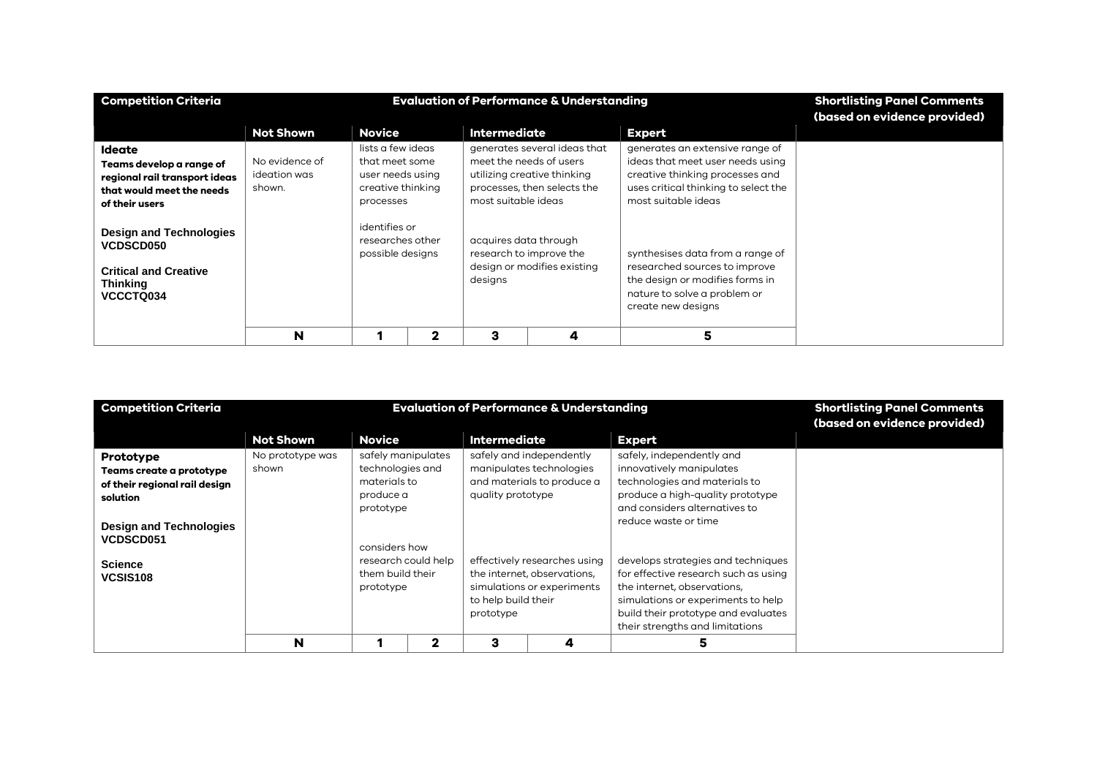| <b>Competition Criteria</b>                                                                                               |                                          |                                                                                           |              | <b>Evaluation of Performance &amp; Understanding</b> | <b>Shortlisting Panel Comments</b><br>(based on evidence provided)                         |                                                                                                                                                                       |  |
|---------------------------------------------------------------------------------------------------------------------------|------------------------------------------|-------------------------------------------------------------------------------------------|--------------|------------------------------------------------------|--------------------------------------------------------------------------------------------|-----------------------------------------------------------------------------------------------------------------------------------------------------------------------|--|
|                                                                                                                           | <b>Not Shown</b>                         | <b>Novice</b>                                                                             |              | <b>Intermediate</b>                                  |                                                                                            | <b>Expert</b>                                                                                                                                                         |  |
| <b>Ideate</b><br>Teams develop a range of<br>regional rail transport ideas<br>that would meet the needs<br>of their users | No evidence of<br>ideation was<br>shown. | lists a few ideas<br>that meet some<br>user needs using<br>creative thinking<br>processes |              | meet the needs of users<br>most suitable ideas       | generates several ideas that<br>utilizing creative thinking<br>processes, then selects the | generates an extensive range of<br>ideas that meet user needs using<br>creative thinking processes and<br>uses critical thinking to select the<br>most suitable ideas |  |
| Design and Technologies<br><b>VCDSCD050</b><br><b>Critical and Creative</b><br><b>Thinking</b><br>VCCCTQ034               |                                          | identifies or<br>researches other<br>possible designs                                     |              | acquires data through<br>designs                     | research to improve the<br>design or modifies existing                                     | synthesises data from a range of<br>researched sources to improve<br>the design or modifies forms in<br>nature to solve a problem or<br>create new designs            |  |
|                                                                                                                           | N                                        |                                                                                           | $\mathbf{2}$ | з                                                    | 4                                                                                          | 5                                                                                                                                                                     |  |

| <b>Competition Criteria</b>                                                        |                           |                                                                                  | <b>Evaluation of Performance &amp; Understanding</b> | <b>Shortlisting Panel Comments</b><br>(based on evidence provided) |                                                                                    |                                                                                                                                                             |  |
|------------------------------------------------------------------------------------|---------------------------|----------------------------------------------------------------------------------|------------------------------------------------------|--------------------------------------------------------------------|------------------------------------------------------------------------------------|-------------------------------------------------------------------------------------------------------------------------------------------------------------|--|
|                                                                                    | <b>Not Shown</b>          | <b>Novice</b>                                                                    |                                                      | <b>Intermediate</b>                                                |                                                                                    | <b>Expert</b>                                                                                                                                               |  |
| Prototype<br>Teams create a prototype<br>of their regional rail design<br>solution | No prototype was<br>shown | safely manipulates<br>technologies and<br>materials to<br>produce a<br>prototype |                                                      | quality prototype                                                  | safely and independently<br>manipulates technologies<br>and materials to produce a | safely, independently and<br>innovatively manipulates<br>technologies and materials to<br>produce a high-quality prototype<br>and considers alternatives to |  |
| <b>Design and Technologies</b><br><b>VCDSCD051</b><br><b>Science</b>               |                           | considers how                                                                    | research could help                                  |                                                                    | effectively researches using<br>the internet, observations,                        | reduce waste or time<br>develops strategies and techniques<br>for effective research such as using                                                          |  |
| VCSIS108                                                                           |                           | them build their<br>prototype                                                    |                                                      | to help build their<br>prototype                                   | simulations or experiments                                                         | the internet, observations,<br>simulations or experiments to help<br>build their prototype and evaluates<br>their strengths and limitations                 |  |
|                                                                                    | N                         |                                                                                  | $\mathbf{2}$                                         | 3                                                                  | 4                                                                                  | 5                                                                                                                                                           |  |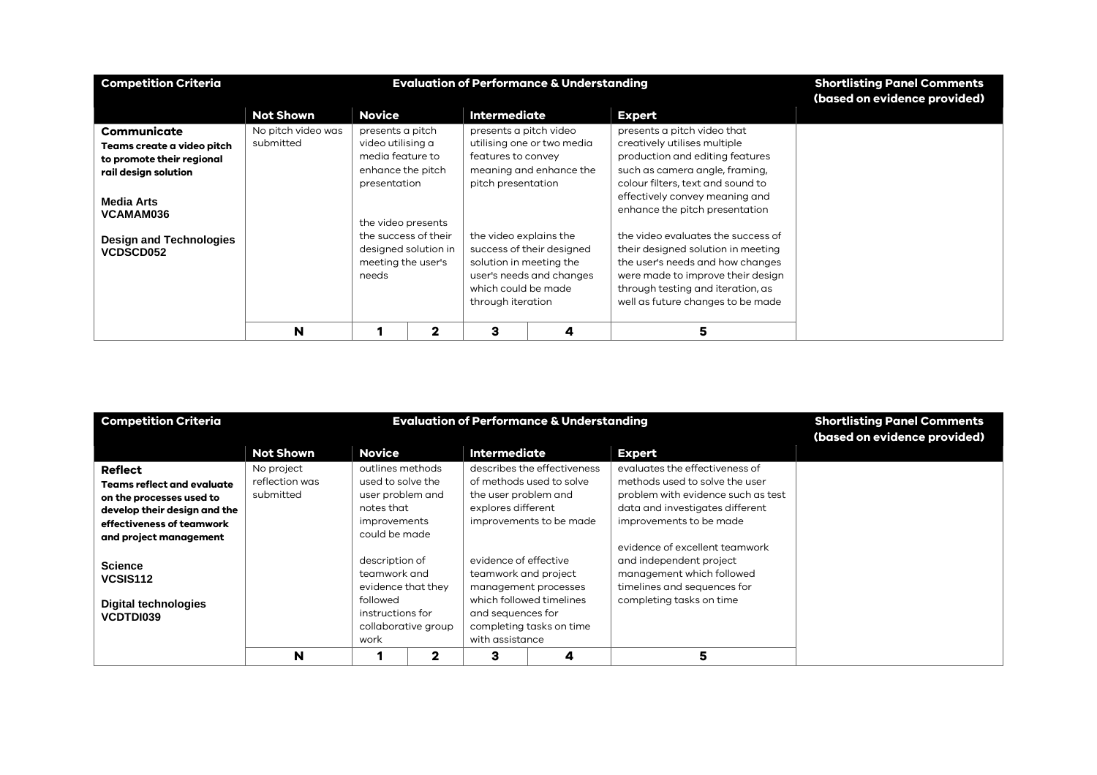| <b>Competition Criteria</b>    |                    | <b>Evaluation of Performance &amp; Understanding</b> | <b>Shortlisting Panel Comments</b><br>(based on evidence provided) |                         |                            |                                                                        |  |
|--------------------------------|--------------------|------------------------------------------------------|--------------------------------------------------------------------|-------------------------|----------------------------|------------------------------------------------------------------------|--|
|                                | <b>Not Shown</b>   | <b>Novice</b>                                        |                                                                    | <b>Intermediate</b>     |                            | <b>Expert</b>                                                          |  |
| Communicate                    | No pitch video was | presents a pitch                                     |                                                                    | presents a pitch video  |                            | presents a pitch video that                                            |  |
| Teams create a video pitch     | submitted          | video utilising a                                    |                                                                    |                         | utilising one or two media | creatively utilises multiple                                           |  |
| to promote their regional      |                    | media feature to                                     |                                                                    | features to convey      |                            | production and editing features                                        |  |
| rail design solution           |                    | enhance the pitch                                    |                                                                    |                         | meaning and enhance the    | such as camera angle, framing,                                         |  |
|                                |                    | presentation                                         |                                                                    | pitch presentation      |                            | colour filters, text and sound to                                      |  |
| <b>Media Arts</b>              |                    |                                                      |                                                                    |                         |                            | effectively convey meaning and                                         |  |
| <b>VCAMAM036</b>               |                    |                                                      |                                                                    |                         |                            | enhance the pitch presentation                                         |  |
|                                |                    | the video presents                                   |                                                                    |                         |                            |                                                                        |  |
| <b>Design and Technologies</b> |                    | the success of their                                 |                                                                    | the video explains the  |                            | the video evaluates the success of                                     |  |
| <b>VCDSCD052</b>               |                    |                                                      | designed solution in                                               |                         | success of their designed  | their designed solution in meeting                                     |  |
|                                |                    | meeting the user's                                   |                                                                    | solution in meeting the |                            | the user's needs and how changes                                       |  |
|                                |                    | needs                                                |                                                                    | which could be made     | user's needs and changes   | were made to improve their design<br>through testing and iteration, as |  |
|                                |                    |                                                      |                                                                    | through iteration       |                            | well as future changes to be made                                      |  |
|                                |                    |                                                      |                                                                    |                         |                            |                                                                        |  |
|                                | N                  |                                                      | 2                                                                  | з                       | 4                          | 5                                                                      |  |

| <b>Competition Criteria</b>                                     |                  |                                                                                                                     | <b>Evaluation of Performance &amp; Understanding</b> | <b>Shortlisting Panel Comments</b><br>(based on evidence provided)                    |                                                                              |                                                                                                                                                   |  |
|-----------------------------------------------------------------|------------------|---------------------------------------------------------------------------------------------------------------------|------------------------------------------------------|---------------------------------------------------------------------------------------|------------------------------------------------------------------------------|---------------------------------------------------------------------------------------------------------------------------------------------------|--|
|                                                                 | <b>Not Shown</b> | <b>Novice</b>                                                                                                       |                                                      | Intermediate                                                                          |                                                                              | <b>Expert</b>                                                                                                                                     |  |
| <b>Reflect</b>                                                  | No project       | outlines methods                                                                                                    |                                                      |                                                                                       | describes the effectiveness                                                  | evaluates the effectiveness of                                                                                                                    |  |
| <b>Teams reflect and evaluate</b>                               | reflection was   | used to solve the                                                                                                   |                                                      |                                                                                       | of methods used to solve                                                     | methods used to solve the user                                                                                                                    |  |
| on the processes used to                                        | submitted        | user problem and                                                                                                    |                                                      | the user problem and                                                                  |                                                                              | problem with evidence such as test                                                                                                                |  |
| develop their design and the                                    |                  | notes that                                                                                                          |                                                      | explores different                                                                    |                                                                              | data and investigates different                                                                                                                   |  |
| effectiveness of teamwork                                       |                  | improvements                                                                                                        |                                                      |                                                                                       | improvements to be made                                                      | improvements to be made                                                                                                                           |  |
| and project management                                          |                  | could be made                                                                                                       |                                                      |                                                                                       |                                                                              |                                                                                                                                                   |  |
| <b>Science</b><br>VCSIS112<br>Digital technologies<br>VCDTDI039 |                  | description of<br>teamwork and<br>evidence that they<br>followed<br>instructions for<br>collaborative group<br>work |                                                      | evidence of effective<br>teamwork and project<br>and sequences for<br>with assistance | management processes<br>which followed timelines<br>completing tasks on time | evidence of excellent teamwork<br>and independent project<br>management which followed<br>timelines and sequences for<br>completing tasks on time |  |
|                                                                 | N                |                                                                                                                     | $\mathbf 2$                                          | з                                                                                     | 4                                                                            | 5                                                                                                                                                 |  |